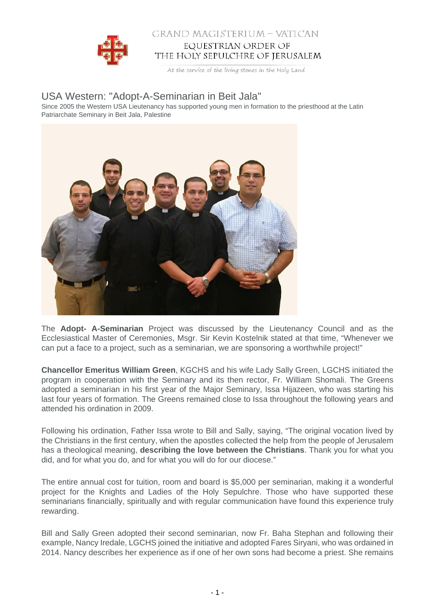

## GRAND MAGISTERIUM - VATICAN EQUESTRIAN ORDER OF THE HOLY SEPULCHRE OF JERUSALEM

At the service of the living stones in the Holy Land

## USA Western: "Adopt-A-Seminarian in Beit Jala"

Since 2005 the Western USA Lieutenancy has supported young men in formation to the priesthood at the Latin Patriarchate Seminary in Beit Jala, Palestine



The **Adopt- A-Seminarian** Project was discussed by the Lieutenancy Council and as the Ecclesiastical Master of Ceremonies, Msgr. Sir Kevin Kostelnik stated at that time, "Whenever we can put a face to a project, such as a seminarian, we are sponsoring a worthwhile project!"

**Chancellor Emeritus William Green**, KGCHS and his wife Lady Sally Green, LGCHS initiated the program in cooperation with the Seminary and its then rector, Fr. William Shomali. The Greens adopted a seminarian in his first year of the Major Seminary, Issa Hijazeen, who was starting his last four years of formation. The Greens remained close to Issa throughout the following years and attended his ordination in 2009.

Following his ordination, Father Issa wrote to Bill and Sally, saying, "The original vocation lived by the Christians in the first century, when the apostles collected the help from the people of Jerusalem has a theological meaning, **describing the love between the Christians**. Thank you for what you did, and for what you do, and for what you will do for our diocese."

The entire annual cost for tuition, room and board is \$5,000 per seminarian, making it a wonderful project for the Knights and Ladies of the Holy Sepulchre. Those who have supported these seminarians financially, spiritually and with regular communication have found this experience truly rewarding.

Bill and Sally Green adopted their second seminarian, now Fr. Baha Stephan and following their example, Nancy Iredale, LGCHS joined the initiative and adopted Fares Siryani, who was ordained in 2014. Nancy describes her experience as if one of her own sons had become a priest. She remains